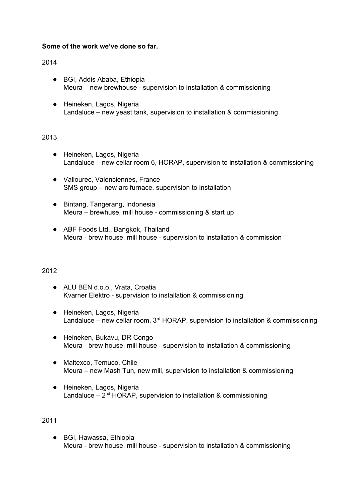# **Some of the work we've done so far.**

## 2014

- BGI, Addis Ababa, Ethiopia Meura – new brewhouse - supervision to installation  $&$  commissioning
- Heineken, Lagos, Nigeria Landaluce – new yeast tank, supervision to installation & commissioning

#### 2013

- Heineken, Lagos, Nigeria Landaluce – new cellar room 6, HORAP, supervision to installation & commissioning
- Vallourec, Valenciennes, France SMS group – new arc furnace, supervision to installation
- Bintang, Tangerang, Indonesia Meura – brewhuse, mill house - commissioning & start up
- ABF Foods Ltd., Bangkok, Thailand Meura - brew house, mill house - supervision to installation & commission

#### 2012

- ALU BEN d.o.o., Vrata, Croatia Kvarner Elektro - supervision to installation & commissioning
- Heineken, Lagos, Nigeria Landaluce – new cellar room,  $3<sup>rd</sup>$  HORAP, supervision to installation & commissioning
- Heineken, Bukavu, DR Congo Meura - brew house, mill house - supervision to installation & commissioning
- Maltexco, Temuco, Chile Meura – new Mash Tun, new mill, supervision to installation & commissioning
- Heineken, Lagos, Nigeria Landaluce  $-2<sup>nd</sup> HORAP$ , supervision to installation & commissioning

#### 2011

● BGI, Hawassa, Ethiopia Meura - brew house, mill house - supervision to installation & commissioning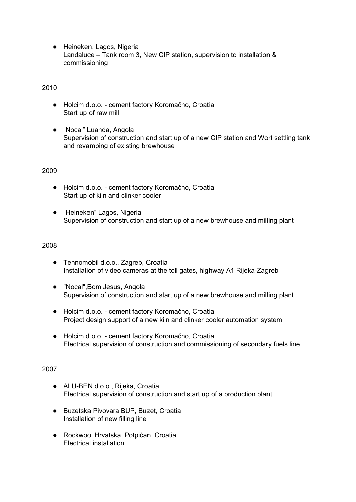● Heineken, Lagos, Nigeria Landaluce – Tank room 3, New CIP station, supervision to installation & commissioning

## 2010

- Holcim d.o.o. cement factory Koromačno, Croatia Start up of raw mill
- "Nocal" Luanda, Angola Supervision of construction and start up of a new CIP station and Wort settling tank and revamping of existing brewhouse

## 2009

- Holcim d.o.o. cement factory Koromačno, Croatia Start up of kiln and clinker cooler
- "Heineken" Lagos, Nigeria Supervision of construction and start up of a new brewhouse and milling plant

#### 2008

- Tehnomobil d.o.o., Zagreb, Croatia Installation of video cameras at the toll gates, highway A1 Rijeka-Zagreb
- "Nocal",Bom Jesus, Angola Supervision of construction and start up of a new brewhouse and milling plant
- Holcim d.o.o. cement factory Koromačno, Croatia Project design support of a new kiln and clinker cooler automation system
- Holcim d.o.o. cement factory Koromačno, Croatia Electrical supervision of construction and commissioning of secondary fuels line

#### 2007

- ALU-BEN d.o.o., Rijeka, Croatia Electrical supervision of construction and start up of a production plant
- Buzetska Pivovara BUP, Buzet, Croatia Installation of new filling line
- Rockwool Hrvatska, Potpićan, Croatia Electrical installation